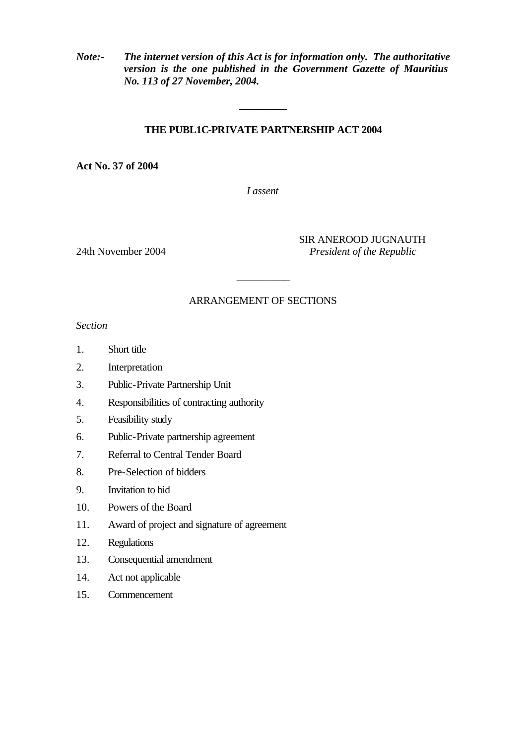*Note:- The internet version of this Act is for information only. The authoritative version is the one published in the Government Gazette of Mauritius No. 113 of 27 November, 2004.*

## **THE PUBL1C-PRIVATE PARTNERSHIP ACT 2004**

**\_\_\_\_\_\_\_\_\_**

**Act No. 37 of 2004**

*I assent*

SIR ANEROOD JUGNAUTH 24th November 2004 *President of the Republic*

#### ARRANGEMENT OF SECTIONS

 $\overline{\phantom{a}}$ 

*Section*

- 1. Short title
- 2. Interpretation
- 3. Public-Private Partnership Unit
- 4. Responsibilities of contracting authority
- 5. Feasibility study
- 6. Public-Private partnership agreement
- 7. Referral to Central Tender Board
- 8. Pre-Selection of bidders
- 9. Invitation to bid
- 10. Powers of the Board
- 11. Award of project and signature of agreement
- 12. Regulations
- 13. Consequential amendment
- 14. Act not applicable
- 15. Commencement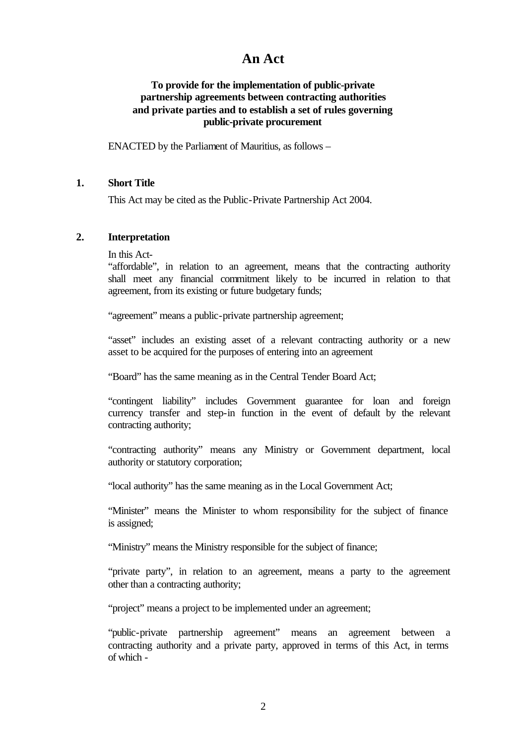# **An Act**

## **To provide for the implementation of public-private partnership agreements between contracting authorities and private parties and to establish a set of rules governing public-private procurement**

ENACTED by the Parliament of Mauritius, as follows –

#### **1. Short Title**

This Act may be cited as the Public-Private Partnership Act 2004.

#### **2. Interpretation**

In this Act-

"affordable", in relation to an agreement, means that the contracting authority shall meet any financial commitment likely to be incurred in relation to that agreement, from its existing or future budgetary funds;

"agreement" means a public-private partnership agreement;

"asset" includes an existing asset of a relevant contracting authority or a new asset to be acquired for the purposes of entering into an agreement

"Board" has the same meaning as in the Central Tender Board Act;

"contingent liability" includes Government guarantee for loan and foreign currency transfer and step-in function in the event of default by the relevant contracting authority;

"contracting authority" means any Ministry or Government department, local authority or statutory corporation;

"local authority" has the same meaning as in the Local Government Act;

"Minister" means the Minister to whom responsibility for the subject of finance is assigned;

"Ministry" means the Ministry responsible for the subject of finance;

"private party", in relation to an agreement, means a party to the agreement other than a contracting authority;

"project" means a project to be implemented under an agreement;

"public-private partnership agreement" means an agreement between a contracting authority and a private party, approved in terms of this Act, in terms of which -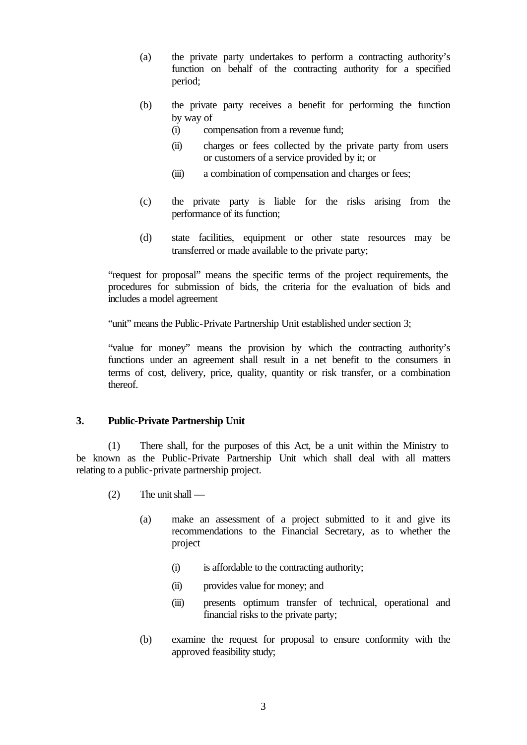- (a) the private party undertakes to perform a contracting authority's function on behalf of the contracting authority for a specified period;
- (b) the private party receives a benefit for performing the function by way of
	- (i) compensation from a revenue fund;
	- (ii) charges or fees collected by the private party from users or customers of a service provided by it; or
	- (iii) a combination of compensation and charges or fees;
- (c) the private party is liable for the risks arising from the performance of its function;
- (d) state facilities, equipment or other state resources may be transferred or made available to the private party;

"request for proposal" means the specific terms of the project requirements, the procedures for submission of bids, the criteria for the evaluation of bids and includes a model agreement

"unit" means the Public-Private Partnership Unit established under section 3;

"value for money" means the provision by which the contracting authority's functions under an agreement shall result in a net benefit to the consumers in terms of cost, delivery, price, quality, quantity or risk transfer, or a combination thereof.

# **3. Public-Private Partnership Unit**

(1) There shall, for the purposes of this Act, be a unit within the Ministry to be known as the Public-Private Partnership Unit which shall deal with all matters relating to a public-private partnership project.

- (2) The unit shall
	- (a) make an assessment of a project submitted to it and give its recommendations to the Financial Secretary, as to whether the project
		- (i) is affordable to the contracting authority;
		- (ii) provides value for money; and
		- (iii) presents optimum transfer of technical, operational and financial risks to the private party;
	- (b) examine the request for proposal to ensure conformity with the approved feasibility study;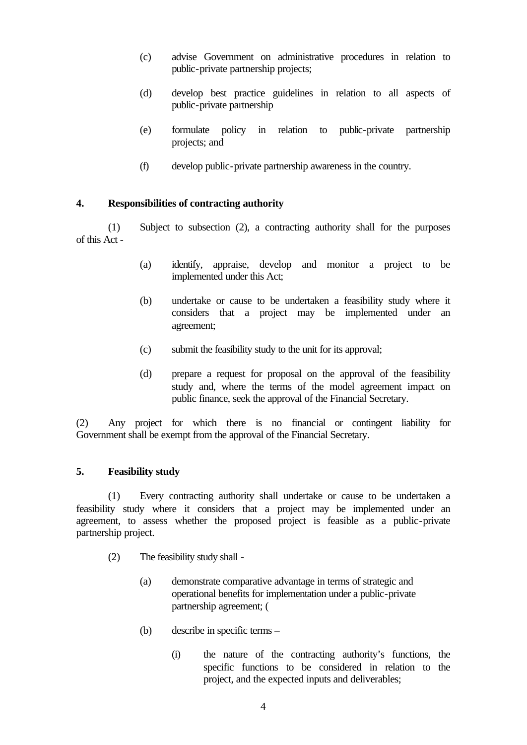- (c) advise Government on administrative procedures in relation to public-private partnership projects;
- (d) develop best practice guidelines in relation to all aspects of public-private partnership
- (e) formulate policy in relation to public-private partnership projects; and
- (f) develop public-private partnership awareness in the country.

## **4. Responsibilities of contracting authority**

(1) Subject to subsection (2), a contracting authority shall for the purposes of this Act -

- (a) identify, appraise, develop and monitor a project to be implemented under this Act;
- (b) undertake or cause to be undertaken a feasibility study where it considers that a project may be implemented under an agreement;
- (c) submit the feasibility study to the unit for its approval;
- (d) prepare a request for proposal on the approval of the feasibility study and, where the terms of the model agreement impact on public finance, seek the approval of the Financial Secretary.

(2) Any project for which there is no financial or contingent liability for Government shall be exempt from the approval of the Financial Secretary.

# **5. Feasibility study**

(1) Every contracting authority shall undertake or cause to be undertaken a feasibility study where it considers that a project may be implemented under an agreement, to assess whether the proposed project is feasible as a public-private partnership project.

- (2) The feasibility study shall
	- (a) demonstrate comparative advantage in terms of strategic and operational benefits for implementation under a public-private partnership agreement; (
	- (b) describe in specific terms
		- (i) the nature of the contracting authority's functions, the specific functions to be considered in relation to the project, and the expected inputs and deliverables;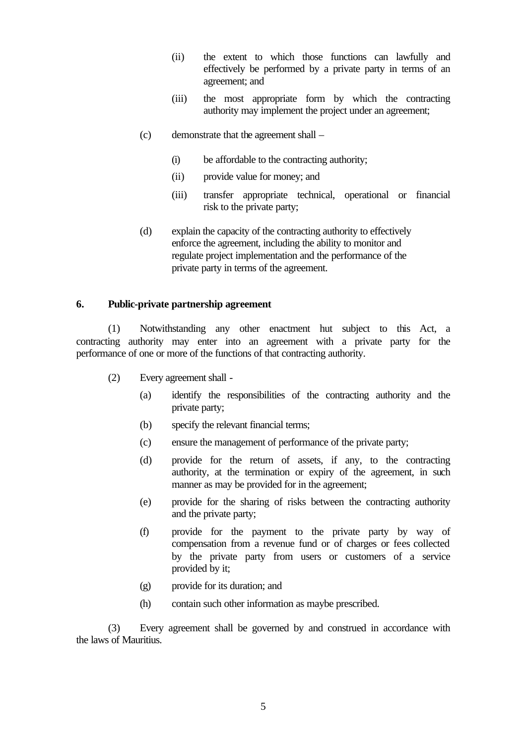- (ii) the extent to which those functions can lawfully and effectively be performed by a private party in terms of an agreement; and
- (iii) the most appropriate form by which the contracting authority may implement the project under an agreement;
- (c) demonstrate that the agreement shall
	- (i) be affordable to the contracting authority;
	- (ii) provide value for money; and
	- (iii) transfer appropriate technical, operational or financial risk to the private party;
- (d) explain the capacity of the contracting authority to effectively enforce the agreement, including the ability to monitor and regulate project implementation and the performance of the private party in terms of the agreement.

#### **6. Public-private partnership agreement**

(1) Notwithstanding any other enactment hut subject to this Act, a contracting authority may enter into an agreement with a private party for the performance of one or more of the functions of that contracting authority.

- (2) Every agreement shall
	- (a) identify the responsibilities of the contracting authority and the private party;
	- (b) specify the relevant financial terms;
	- (c) ensure the management of performance of the private party;
	- (d) provide for the return of assets, if any, to the contracting authority, at the termination or expiry of the agreement, in such manner as may be provided for in the agreement;
	- (e) provide for the sharing of risks between the contracting authority and the private party;
	- (f) provide for the payment to the private party by way of compensation from a revenue fund or of charges or fees collected by the private party from users or customers of a service provided by it;
	- (g) provide for its duration; and
	- (h) contain such other information as maybe prescribed.

(3) Every agreement shall be governed by and construed in accordance with the laws of Mauritius.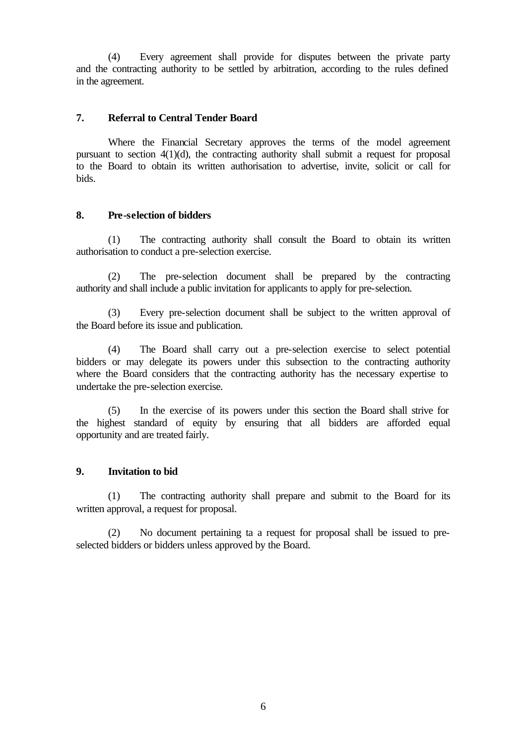(4) Every agreement shall provide for disputes between the private party and the contracting authority to be settled by arbitration, according to the rules defined in the agreement.

#### **7. Referral to Central Tender Board**

Where the Financial Secretary approves the terms of the model agreement pursuant to section 4(1)(d), the contracting authority shall submit a request for proposal to the Board to obtain its written authorisation to advertise, invite, solicit or call for bids.

## **8. Pre-selection of bidders**

(1) The contracting authority shall consult the Board to obtain its written authorisation to conduct a pre-selection exercise.

(2) The pre-selection document shall be prepared by the contracting authority and shall include a public invitation for applicants to apply for pre-selection.

(3) Every pre-selection document shall be subject to the written approval of the Board before its issue and publication.

(4) The Board shall carry out a pre-selection exercise to select potential bidders or may delegate its powers under this subsection to the contracting authority where the Board considers that the contracting authority has the necessary expertise to undertake the pre-selection exercise.

(5) In the exercise of its powers under this section the Board shall strive for the highest standard of equity by ensuring that all bidders are afforded equal opportunity and are treated fairly.

# **9. Invitation to bid**

(1) The contracting authority shall prepare and submit to the Board for its written approval, a request for proposal.

(2) No document pertaining ta a request for proposal shall be issued to preselected bidders or bidders unless approved by the Board.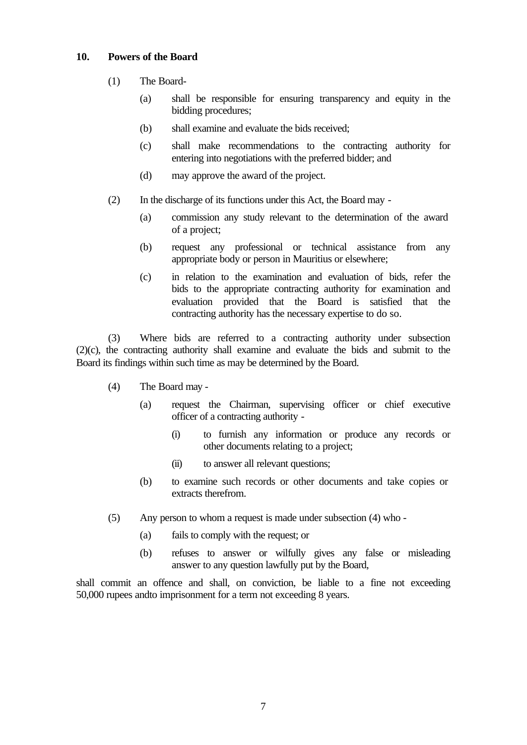## **10. Powers of the Board**

- (1) The Board-
	- (a) shall be responsible for ensuring transparency and equity in the bidding procedures;
	- (b) shall examine and evaluate the bids received;
	- (c) shall make recommendations to the contracting authority for entering into negotiations with the preferred bidder; and
	- (d) may approve the award of the project.
- (2) In the discharge of its functions under this Act, the Board may
	- (a) commission any study relevant to the determination of the award of a project;
	- (b) request any professional or technical assistance from any appropriate body or person in Mauritius or elsewhere;
	- (c) in relation to the examination and evaluation of bids, refer the bids to the appropriate contracting authority for examination and evaluation provided that the Board is satisfied that the contracting authority has the necessary expertise to do so.

(3) Where bids are referred to a contracting authority under subsection (2)(c), the contracting authority shall examine and evaluate the bids and submit to the Board its findings within such time as may be determined by the Board.

- (4) The Board may
	- (a) request the Chairman, supervising officer or chief executive officer of a contracting authority -
		- (i) to furnish any information or produce any records or other documents relating to a project;
		- (ii) to answer all relevant questions;
	- (b) to examine such records or other documents and take copies or extracts therefrom.
- (5) Any person to whom a request is made under subsection (4) who
	- (a) fails to comply with the request; or
	- (b) refuses to answer or wilfully gives any false or misleading answer to any question lawfully put by the Board,

shall commit an offence and shall, on conviction, be liable to a fine not exceeding 50,000 rupees andto imprisonment for a term not exceeding 8 years.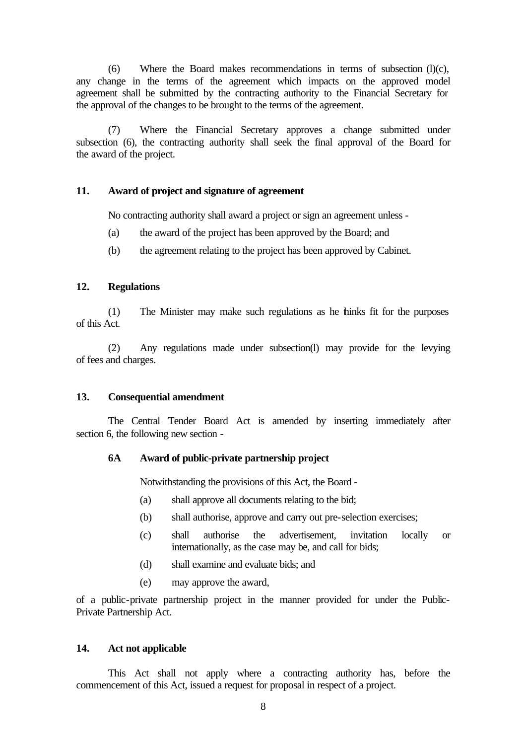(6) Where the Board makes recommendations in terms of subsection (l)(c), any change in the terms of the agreement which impacts on the approved model agreement shall be submitted by the contracting authority to the Financial Secretary for the approval of the changes to be brought to the terms of the agreement.

(7) Where the Financial Secretary approves a change submitted under subsection (6), the contracting authority shall seek the final approval of the Board for the award of the project.

#### **11. Award of project and signature of agreement**

No contracting authority shall award a project or sign an agreement unless -

- (a) the award of the project has been approved by the Board; and
- (b) the agreement relating to the project has been approved by Cabinet.

#### **12. Regulations**

(1) The Minister may make such regulations as he thinks fit for the purposes of this Act.

(2) Any regulations made under subsection(l) may provide for the levying of fees and charges.

#### **13. Consequential amendment**

The Central Tender Board Act is amended by inserting immediately after section 6, the following new section -

#### **6A Award of public-private partnership project**

Notwithstanding the provisions of this Act, the Board -

- (a) shall approve all documents relating to the bid;
- (b) shall authorise, approve and carry out pre-selection exercises;
- (c) shall authorise the advertisement, invitation locally or internationally, as the case may be, and call for bids;
- (d) shall examine and evaluate bids; and
- (e) may approve the award,

of a public-private partnership project in the manner provided for under the Public-Private Partnership Act.

#### **14. Act not applicable**

This Act shall not apply where a contracting authority has, before the commencement of this Act, issued a request for proposal in respect of a project.

8